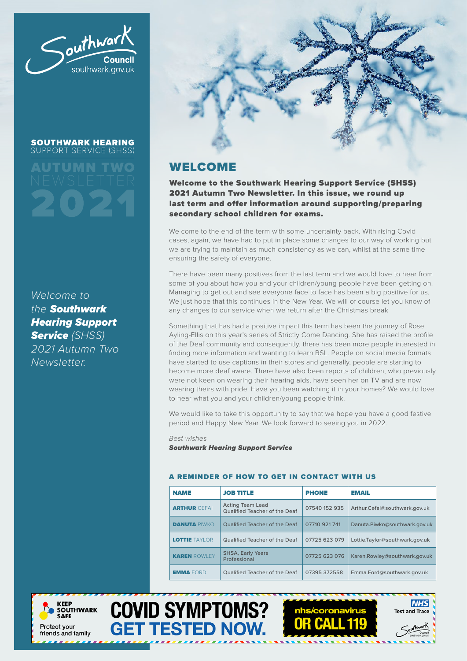

**SOUTHWARK HEARING**<br>SUPPORT SERVICE (SHSS)

AUTUMN TW(

*Welcome to the Southwark Hearing Support Service (SHSS) 2021 Autumn Two Newsletter.*



### WELCOME

Welcome to the Southwark Hearing Support Service (SHSS) 2021 Autumn Two Newsletter. In this issue, we round up last term and offer information around supporting/preparing secondary school children for exams.

We come to the end of the term with some uncertainty back. With rising Covid cases, again, we have had to put in place some changes to our way of working but we are trying to maintain as much consistency as we can, whilst at the same time ensuring the safety of everyone.

There have been many positives from the last term and we would love to hear from some of you about how you and your children/young people have been getting on. Managing to get out and see everyone face to face has been a big positive for us. We just hope that this continues in the New Year. We will of course let you know of any changes to our service when we return after the Christmas break

Something that has had a positive impact this term has been the journey of Rose Ayling-Ellis on this year's series of Strictly Come Dancing. She has raised the profile of the Deaf community and consequently, there has been more people interested in finding more information and wanting to learn BSL. People on social media formats have started to use captions in their stores and generally, people are starting to become more deaf aware. There have also been reports of children, who previously were not keen on wearing their hearing aids, have seen her on TV and are now wearing theirs with pride. Have you been watching it in your homes? We would love to hear what you and your children/young people think.

We would like to take this opportunity to say that we hope you have a good festive period and Happy New Year. We look forward to seeing you in 2022.

*Best wishes Southwark Hearing Support Service* 

#### A REMINDER OF HOW TO GET IN CONTACT WITH US

| <b>NAME</b>           | <b>JOB TITLE</b>                                         | <b>PHONE</b>  | <b>EMAIL</b>                   |
|-----------------------|----------------------------------------------------------|---------------|--------------------------------|
| <b>ARTHUR CEFAI</b>   | <b>Acting Team Lead</b><br>Qualified Teacher of the Deaf | 07540 152 935 | Arthur.Cefai@southwark.gov.uk  |
| <b>DANUTA PIWKO</b>   | Qualified Teacher of the Deaf                            | 07710 921 741 | Danuta.Piwko@southwark.gov.uk  |
| <b>LOTTIE TAYI OR</b> | Qualified Teacher of the Deaf                            | 07725 623 079 | Lottie.Taylor@southwark.gov.uk |
| <b>KAREN ROWLEY</b>   | <b>SHSA, Early Years</b><br>Professional                 | 07725 623 076 | Karen.Rowley@southwark.gov.uk  |
| <b>EMMA FORD</b>      | Qualified Teacher of the Deaf                            | 07395 372558  | Emma.Ford@southwark.gov.uk     |